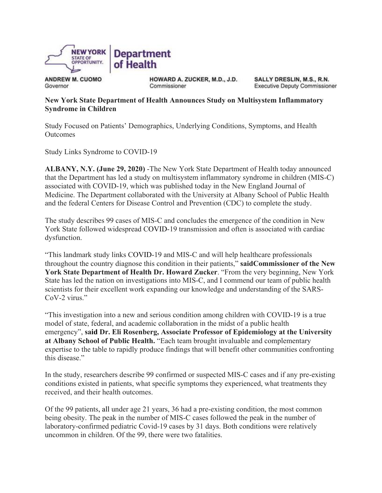

**ANDREW M. CUOMO** Governor

HOWARD A. ZUCKER, M.D., J.D. Commissioner

SALLY DRESLIN, M.S., R.N. **Executive Deputy Commissioner** 

## **New York State Department of Health Announces Study on Multisystem Inflammatory Syndrome in Children**

Study Focused on Patients' Demographics, Underlying Conditions, Symptoms, and Health **Outcomes** 

Study Links Syndrome to COVID-19

**ALBANY, N.Y. (June 29, 2020)** -The New York State Department of Health today announced that the Department has led a study on multisystem inflammatory syndrome in children (MIS-C) associated with COVID-19, which was published today in the New England Journal of Medicine. The Department collaborated with the University at Albany School of Public Health and the federal Centers for Disease Control and Prevention (CDC) to complete the study.

The study describes 99 cases of MIS-C and concludes the emergence of the condition in New York State followed widespread COVID-19 transmission and often is associated with cardiac dysfunction.

"This landmark study links COVID-19 and MIS-C and will help healthcare professionals throughout the country diagnose this condition in their patients," **saidCommissioner of the New York State Department of Health Dr. Howard Zucker**. "From the very beginning, New York State has led the nation on investigations into MIS-C, and I commend our team of public health scientists for their excellent work expanding our knowledge and understanding of the SARS-CoV-2 virus."

"This investigation into a new and serious condition among children with COVID-19 is a true model of state, federal, and academic collaboration in the midst of a public health emergency", **said Dr. Eli Rosenberg, Associate Professor of Epidemiology at the University at Albany School of Public Health.** "Each team brought invaluable and complementary expertise to the table to rapidly produce findings that will benefit other communities confronting this disease."

In the study, researchers describe 99 confirmed or suspected MIS-C cases and if any pre-existing conditions existed in patients, what specific symptoms they experienced, what treatments they received, and their health outcomes.

Of the 99 patients, all under age 21 years, 36 had a pre-existing condition, the most common being obesity. The peak in the number of MIS-C cases followed the peak in the number of laboratory-confirmed pediatric Covid-19 cases by 31 days. Both conditions were relatively uncommon in children. Of the 99, there were two fatalities.